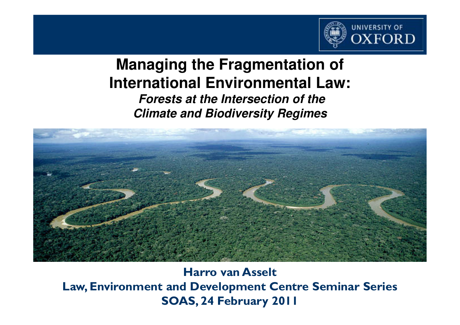

#### **Managing the Fragmentation of International Environmental Law:Forests at the Intersection of the Climate and Biodiversity Regimes**



Harro van Asselt

Law, Environment and Development Centre Seminar SeriesSOAS, 24 February 2011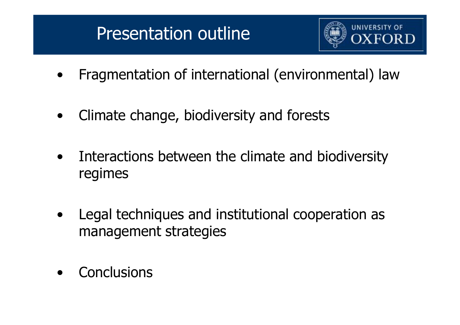## Presentation outline



- •Fragmentation of international (environmental) law
- $\bullet$ Climate change, biodiversity and forests
- $\bullet$  Interactions between the climate and biodiversity regimes
- $\bullet$  Legal techniques and institutional cooperation as management strategies
- $\bullet$ **Conclusions**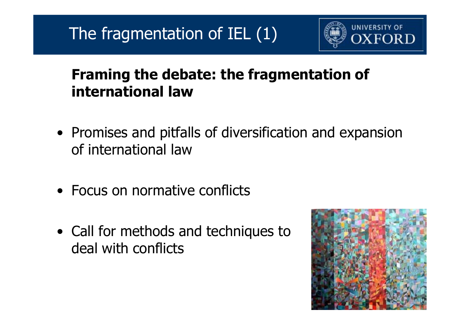## The fragmentation of IEL (1)



#### Framing the debate: the fragmentation of international law

- Promises and pitfalls of diversification and expansion<br>of international law of international law
- Focus on normative conflicts
- Call for methods and techniques to<br>deal with conflicts deal with conflicts

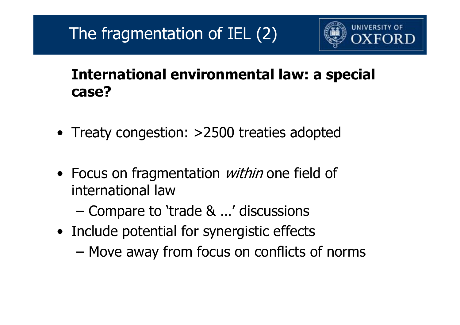# The fragmentation of IEL (2)



#### International environmental law: a special case?

- Treaty congestion: >2500 treaties adopted
- Focus on fragmentation *within* one field of<br>international law international law
	- –Compare to 'trade & …' discussions
- Include potential for synergistic effects<br>Mave away from fague an sanflista a
	- –Move away from focus on conflicts of norms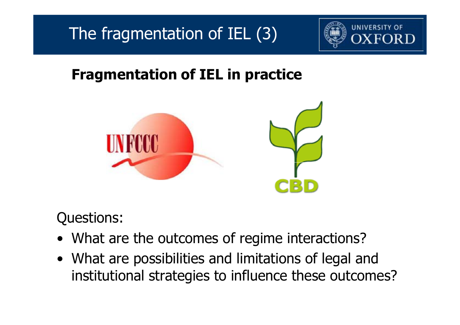The fragmentation of IEL (3)



### Fragmentation of IEL in practice



Questions:

- What are the outcomes of regime interactions?<br>• What are pessibilities and limitations of logal ar
- What are possibilities and limitations of legal and institutional strategies to influence these outcomes?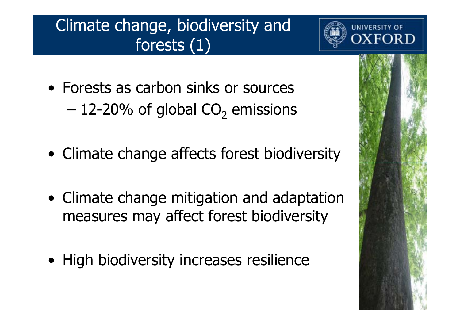## Climate change, biodiversity and forests (1)

- Forests as carbon sinks or sources – $-$  12-20% of global CO 2 $_2$  emissions
- Climate change affects forest biodiversity
- Climate change mitigation and adaptation<br>measures may affect forest hiodiversity measures may affect forest biodiversity
- High biodiversity increases resilience



**UNIVERSITY OF**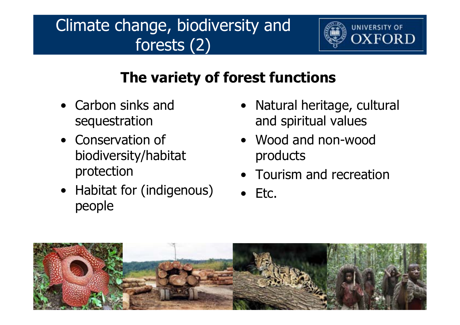## Climate change, biodiversity and forests (2)



## The variety of forest functions

- Carbon sinks and sequestration
- Conservation of<br>hiodiversity/hahi biodiversity/habitat protection
- Habitat for (indigenous)<br>• neonle people
- Natural heritage, cultural and spiritual values
- Wood and non-wood products
- Tourism and recreation<br>• Fts
- Etc.

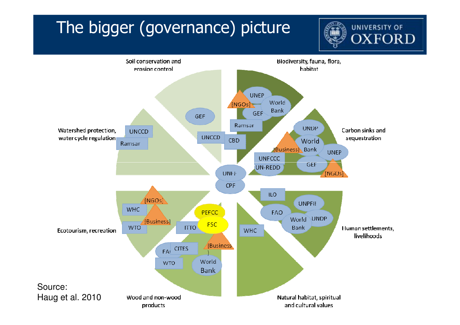## The bigger (governance) picture



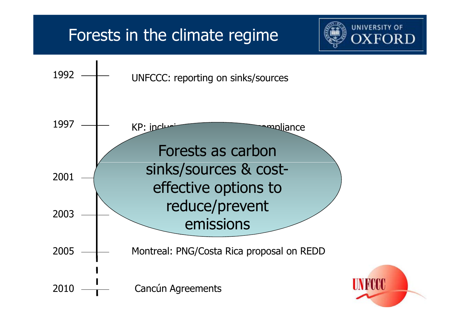### Forests in the climate regime





**UNIVERSITY OF**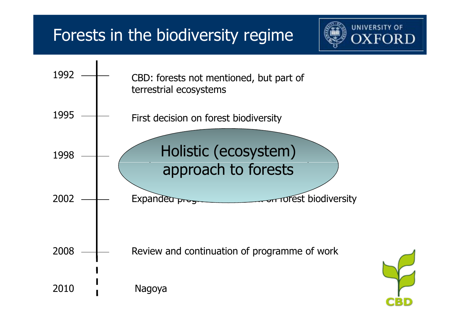### Forests in the biodiversity regime





**UNIVERSITY OF**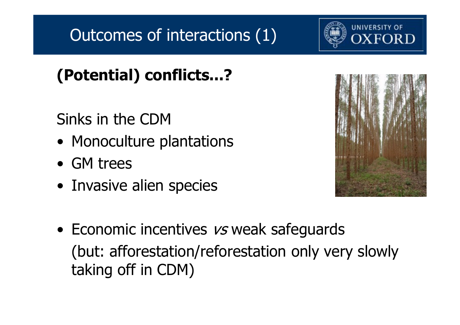## Outcomes of interactions (1)



Sinks in the CDM

- Monoculture plantations<br>• CM trace
- GM trees
- Invasive alien species



• Economic incentives *vs* weak safeguards<br>(buty afferectation/referectation.cnh*use*r (but: afforestation/reforestation only very slowly taking off in CDM)

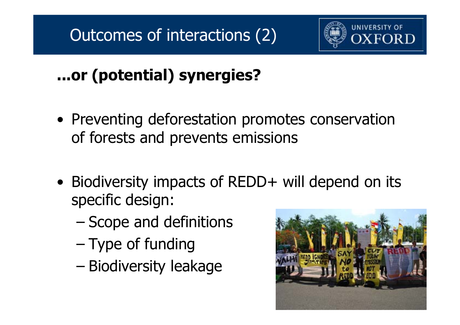Outcomes of interactions (2)



## ...or (potential) synergies?

- Preventing deforestation promotes conservation of forests and prevents emissions
- Biodiversity impacts of REDD+ will depend on its specific design:
	- –Scope and definitions
	- –Type of funding
	- –Biodiversity leakage

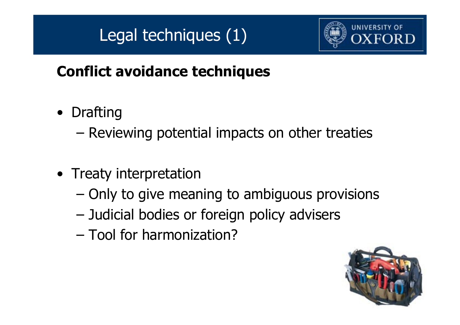



#### Conflict avoidance techniques

- Drafting
	- –Reviewing potential impacts on other treaties
- Treaty interpretation<br>Calvita sive mear
	- –Only to give meaning to ambiguous provisions
	- –Judicial bodies or foreign policy advisers
	- –Tool for harmonization?

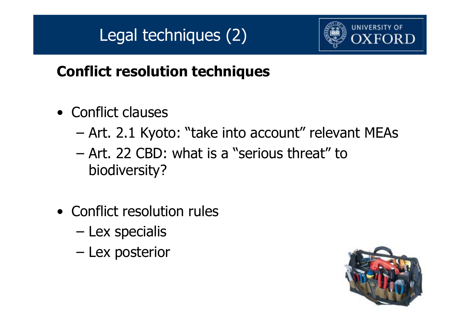



#### Conflict resolution techniques

- Conflict clauses
	- –Art. 2.1 Kyoto: "take into account" relevant MEAs
	- –Art. 22 CBD: what is a "serious threat" to<br>hiodiversity? biodiversity?
- Conflict resolution rules
	- –Lex specialis
	- –Lex posterior

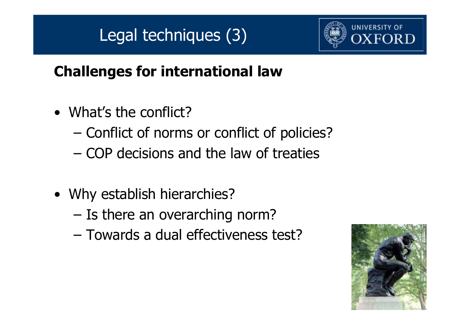



#### Challenges for international law

- What's the conflict?
	- –Conflict of norms or conflict of policies?
	- –COP decisions and the law of treaties
- Why establish hierarchies?
	- –Is there an overarching norm?
	- –Towards a dual effectiveness test?

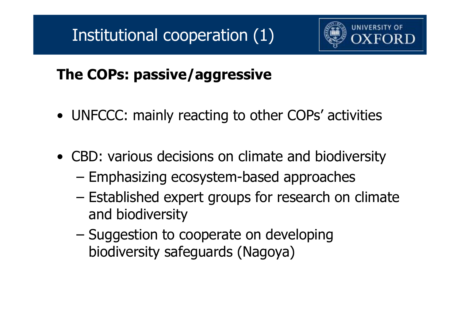

### The COPs: passive/aggressive

- UNFCCC: mainly reacting to other COPs' activities
- CBD: various decisions on climate and biodiversity
	- –Emphasizing ecosystem-based approaches
	- –Established expert groups for research on climate<br>and hiodiversity and biodiversity
	- –Suggestion to cooperate on developing<br>hiodiversity safequards (Nagova) biodiversity safeguards (Nagoya)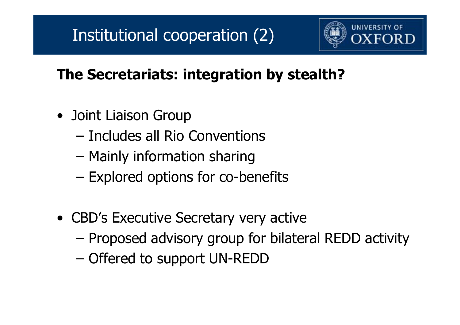

### The Secretariats: integration by stealth?

- Joint Liaison Group
	- –Includes all Rio Conventions
	- –Mainly information sharing
	- –Explored options for co-benefits
- CBD's Executive Secretary very active<br>Dranased advisery group for bilater
	- –Proposed advisory group for bilateral REDD activity
	- –Offered to support UN-REDD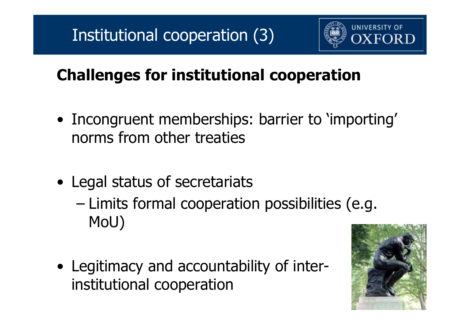

## Challenges for institutional cooperation

- Incongruent memberships: barrier to 'importing' norms from other treaties
- Legal status of secretariats
	- Limits formal cooperation possibilities (e.g. MoU)
- Legitimacy and accountability of inter-<br>institutional cooperation institutional cooperation

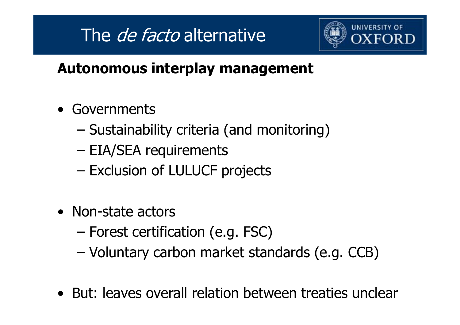



#### Autonomous interplay management

- Governments
	- Sustainability criteria (and monitoring)
	- EIA/SEA requirements
	- $-$  Exclusion of LULUCF projects
- Non-state actors<br>Ferest sertifie
	- –Forest certification (e.g. FSC)
	- –Voluntary carbon market standards (e.g. CCB)
- But: leaves overall relation between treaties unclear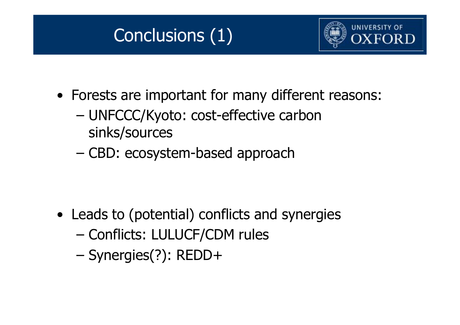



- Forests are important for many different reasons:<br>Finitesce illustes east effective sarbon
	- – UNFCCC/Kyoto: cost-effective carbon sinks/sources
	- –CBD: ecosystem-based approach

- Leads to (potential) conflicts and synergies<br>Conflicte: UUUICE/CDM rules
	- –Conflicts: LULUCF/CDM rules
	- –Synergies(?): REDD+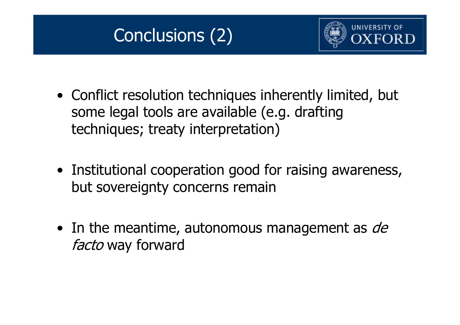



- Conflict resolution techniques inherently limited, but<br>• some legal tools are available (e.g. drafting some legal tools are available (e.g. drafting techniques; treaty interpretation)
- Institutional cooperation good for raising awareness, but sovereignty concerns remain
- In the meantime, autonomous management as  $de$ <br>facto way forward facto way forward